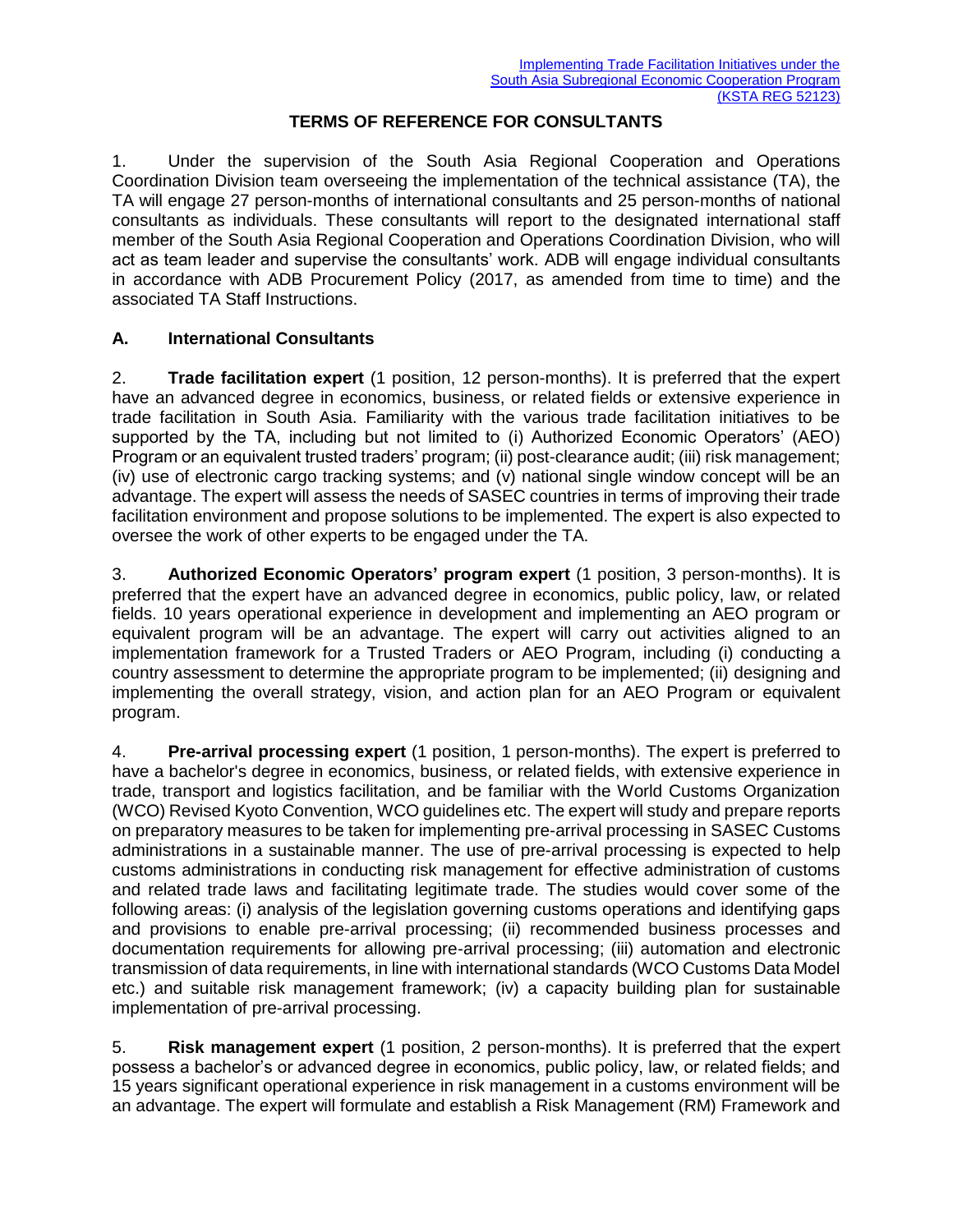## **TERMS OF REFERENCE FOR CONSULTANTS**

1. Under the supervision of the South Asia Regional Cooperation and Operations Coordination Division team overseeing the implementation of the technical assistance (TA), the TA will engage 27 person-months of international consultants and 25 person-months of national consultants as individuals. These consultants will report to the designated international staff member of the South Asia Regional Cooperation and Operations Coordination Division, who will act as team leader and supervise the consultants' work. ADB will engage individual consultants in accordance with ADB Procurement Policy (2017, as amended from time to time) and the associated TA Staff Instructions.

## **A. International Consultants**

2. **Trade facilitation expert** (1 position, 12 person-months). It is preferred that the expert have an advanced degree in economics, business, or related fields or extensive experience in trade facilitation in South Asia. Familiarity with the various trade facilitation initiatives to be supported by the TA, including but not limited to (i) Authorized Economic Operators' (AEO) Program or an equivalent trusted traders' program; (ii) post-clearance audit; (iii) risk management; (iv) use of electronic cargo tracking systems; and (v) national single window concept will be an advantage. The expert will assess the needs of SASEC countries in terms of improving their trade facilitation environment and propose solutions to be implemented. The expert is also expected to oversee the work of other experts to be engaged under the TA.

3. **Authorized Economic Operators' program expert** (1 position, 3 person-months). It is preferred that the expert have an advanced degree in economics, public policy, law, or related fields. 10 years operational experience in development and implementing an AEO program or equivalent program will be an advantage. The expert will carry out activities aligned to an implementation framework for a Trusted Traders or AEO Program, including (i) conducting a country assessment to determine the appropriate program to be implemented; (ii) designing and implementing the overall strategy, vision, and action plan for an AEO Program or equivalent program.

4. **Pre-arrival processing expert** (1 position, 1 person-months). The expert is preferred to have a bachelor's degree in economics, business, or related fields, with extensive experience in trade, transport and logistics facilitation, and be familiar with the World Customs Organization (WCO) Revised Kyoto Convention, WCO guidelines etc. The expert will study and prepare reports on preparatory measures to be taken for implementing pre-arrival processing in SASEC Customs administrations in a sustainable manner. The use of pre-arrival processing is expected to help customs administrations in conducting risk management for effective administration of customs and related trade laws and facilitating legitimate trade. The studies would cover some of the following areas: (i) analysis of the legislation governing customs operations and identifying gaps and provisions to enable pre-arrival processing; (ii) recommended business processes and documentation requirements for allowing pre-arrival processing; (iii) automation and electronic transmission of data requirements, in line with international standards (WCO Customs Data Model etc.) and suitable risk management framework; (iv) a capacity building plan for sustainable implementation of pre-arrival processing.

5. **Risk management expert** (1 position, 2 person-months). It is preferred that the expert possess a bachelor's or advanced degree in economics, public policy, law, or related fields; and 15 years significant operational experience in risk management in a customs environment will be an advantage. The expert will formulate and establish a Risk Management (RM) Framework and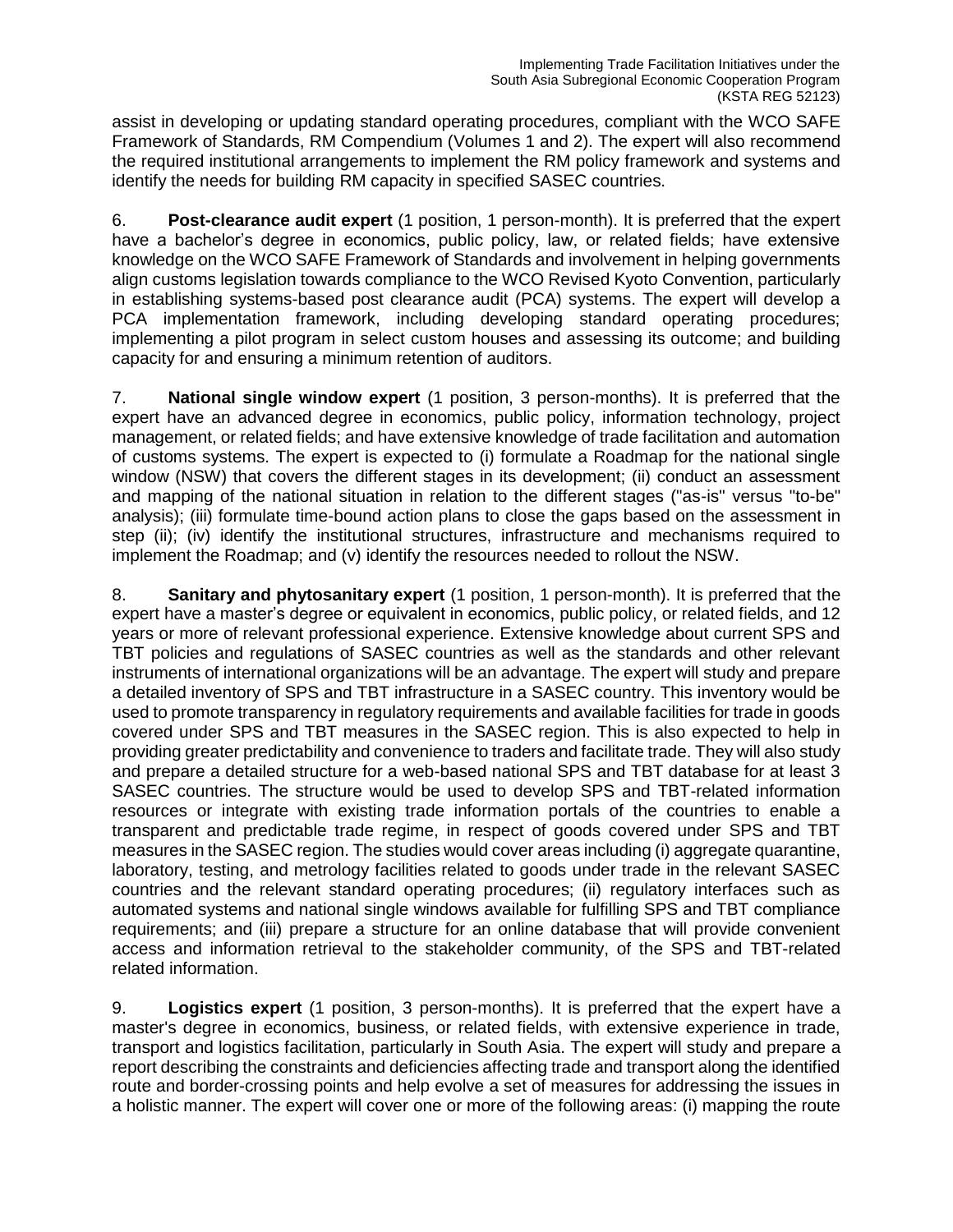assist in developing or updating standard operating procedures, compliant with the WCO SAFE Framework of Standards, RM Compendium (Volumes 1 and 2). The expert will also recommend the required institutional arrangements to implement the RM policy framework and systems and identify the needs for building RM capacity in specified SASEC countries.

6. **Post-clearance audit expert** (1 position, 1 person-month). It is preferred that the expert have a bachelor's degree in economics, public policy, law, or related fields; have extensive knowledge on the WCO SAFE Framework of Standards and involvement in helping governments align customs legislation towards compliance to the WCO Revised Kyoto Convention, particularly in establishing systems-based post clearance audit (PCA) systems. The expert will develop a PCA implementation framework, including developing standard operating procedures; implementing a pilot program in select custom houses and assessing its outcome; and building capacity for and ensuring a minimum retention of auditors.

7. **National single window expert** (1 position, 3 person-months). It is preferred that the expert have an advanced degree in economics, public policy, information technology, project management, or related fields; and have extensive knowledge of trade facilitation and automation of customs systems. The expert is expected to (i) formulate a Roadmap for the national single window (NSW) that covers the different stages in its development; (ii) conduct an assessment and mapping of the national situation in relation to the different stages ("as-is" versus "to-be" analysis); (iii) formulate time-bound action plans to close the gaps based on the assessment in step (ii); (iv) identify the institutional structures, infrastructure and mechanisms required to implement the Roadmap; and (v) identify the resources needed to rollout the NSW.

8. **Sanitary and phytosanitary expert** (1 position, 1 person-month). It is preferred that the expert have a master's degree or equivalent in economics, public policy, or related fields, and 12 years or more of relevant professional experience. Extensive knowledge about current SPS and TBT policies and regulations of SASEC countries as well as the standards and other relevant instruments of international organizations will be an advantage. The expert will study and prepare a detailed inventory of SPS and TBT infrastructure in a SASEC country. This inventory would be used to promote transparency in regulatory requirements and available facilities for trade in goods covered under SPS and TBT measures in the SASEC region. This is also expected to help in providing greater predictability and convenience to traders and facilitate trade. They will also study and prepare a detailed structure for a web-based national SPS and TBT database for at least 3 SASEC countries. The structure would be used to develop SPS and TBT-related information resources or integrate with existing trade information portals of the countries to enable a transparent and predictable trade regime, in respect of goods covered under SPS and TBT measures in the SASEC region. The studies would cover areas including (i) aggregate quarantine, laboratory, testing, and metrology facilities related to goods under trade in the relevant SASEC countries and the relevant standard operating procedures; (ii) regulatory interfaces such as automated systems and national single windows available for fulfilling SPS and TBT compliance requirements; and (iii) prepare a structure for an online database that will provide convenient access and information retrieval to the stakeholder community, of the SPS and TBT-related related information.

9. **Logistics expert** (1 position, 3 person-months). It is preferred that the expert have a master's degree in economics, business, or related fields, with extensive experience in trade, transport and logistics facilitation, particularly in South Asia. The expert will study and prepare a report describing the constraints and deficiencies affecting trade and transport along the identified route and border-crossing points and help evolve a set of measures for addressing the issues in a holistic manner. The expert will cover one or more of the following areas: (i) mapping the route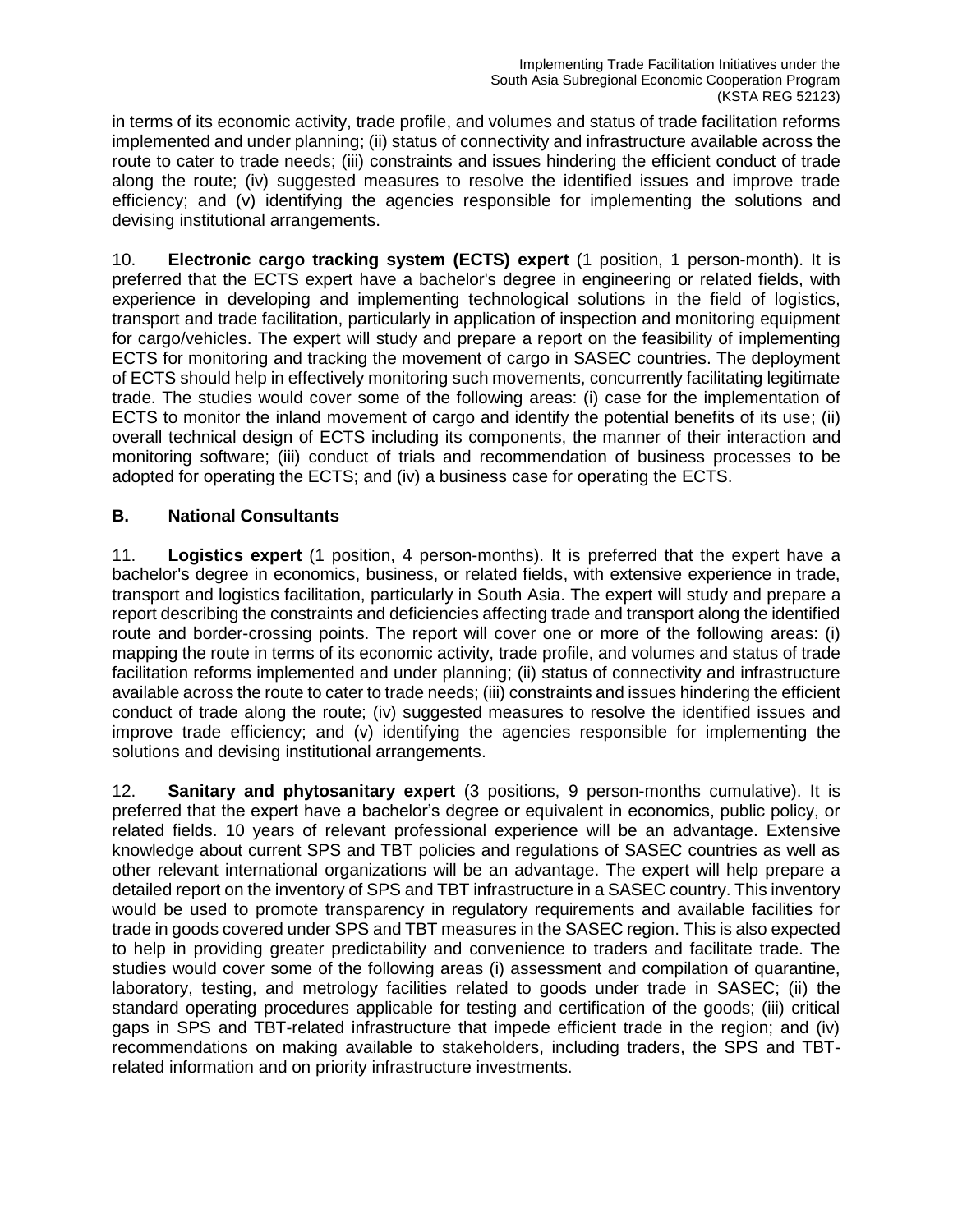in terms of its economic activity, trade profile, and volumes and status of trade facilitation reforms implemented and under planning; (ii) status of connectivity and infrastructure available across the route to cater to trade needs; (iii) constraints and issues hindering the efficient conduct of trade along the route; (iv) suggested measures to resolve the identified issues and improve trade efficiency; and (v) identifying the agencies responsible for implementing the solutions and devising institutional arrangements.

10. **Electronic cargo tracking system (ECTS) expert** (1 position, 1 person-month). It is preferred that the ECTS expert have a bachelor's degree in engineering or related fields, with experience in developing and implementing technological solutions in the field of logistics, transport and trade facilitation, particularly in application of inspection and monitoring equipment for cargo/vehicles. The expert will study and prepare a report on the feasibility of implementing ECTS for monitoring and tracking the movement of cargo in SASEC countries. The deployment of ECTS should help in effectively monitoring such movements, concurrently facilitating legitimate trade. The studies would cover some of the following areas: (i) case for the implementation of ECTS to monitor the inland movement of cargo and identify the potential benefits of its use; (ii) overall technical design of ECTS including its components, the manner of their interaction and monitoring software; (iii) conduct of trials and recommendation of business processes to be adopted for operating the ECTS; and (iv) a business case for operating the ECTS.

## **B. National Consultants**

11. **Logistics expert** (1 position, 4 person-months). It is preferred that the expert have a bachelor's degree in economics, business, or related fields, with extensive experience in trade, transport and logistics facilitation, particularly in South Asia. The expert will study and prepare a report describing the constraints and deficiencies affecting trade and transport along the identified route and border-crossing points. The report will cover one or more of the following areas: (i) mapping the route in terms of its economic activity, trade profile, and volumes and status of trade facilitation reforms implemented and under planning; (ii) status of connectivity and infrastructure available across the route to cater to trade needs; (iii) constraints and issues hindering the efficient conduct of trade along the route; (iv) suggested measures to resolve the identified issues and improve trade efficiency; and (v) identifying the agencies responsible for implementing the solutions and devising institutional arrangements.

12. **Sanitary and phytosanitary expert** (3 positions, 9 person-months cumulative). It is preferred that the expert have a bachelor's degree or equivalent in economics, public policy, or related fields. 10 years of relevant professional experience will be an advantage. Extensive knowledge about current SPS and TBT policies and regulations of SASEC countries as well as other relevant international organizations will be an advantage. The expert will help prepare a detailed report on the inventory of SPS and TBT infrastructure in a SASEC country. This inventory would be used to promote transparency in regulatory requirements and available facilities for trade in goods covered under SPS and TBT measures in the SASEC region. This is also expected to help in providing greater predictability and convenience to traders and facilitate trade. The studies would cover some of the following areas (i) assessment and compilation of quarantine, laboratory, testing, and metrology facilities related to goods under trade in SASEC; (ii) the standard operating procedures applicable for testing and certification of the goods; (iii) critical gaps in SPS and TBT-related infrastructure that impede efficient trade in the region; and (iv) recommendations on making available to stakeholders, including traders, the SPS and TBTrelated information and on priority infrastructure investments.